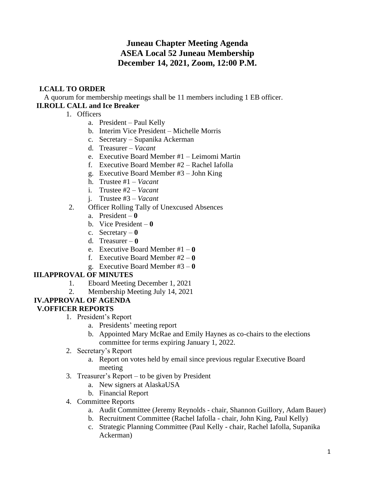# **Juneau Chapter Meeting Agenda ASEA Local 52 Juneau Membership December 14, 2021, Zoom, 12:00 P.M.**

# **I.CALL TO ORDER**

A quorum for membership meetings shall be 11 members including 1 EB officer. **II.ROLL CALL and Ice Breaker**

- 1. Officers
	- a. President Paul Kelly
	- b. Interim Vice President Michelle Morris
	- c. Secretary Supanika Ackerman
	- d. Treasurer *Vacant*
	- e. Executive Board Member #1 Leimomi Martin
	- f. Executive Board Member #2 Rachel Iafolla
	- g. Executive Board Member #3 John King
	- h. Trustee #1 *Vacant*
	- i. Trustee #2 *Vacant*
	- j. Trustee #3 *Vacant*
- 2. Officer Rolling Tally of Unexcused Absences
	- a. President **0**
	- b. Vice President **0**
	- c. Secretary **0**
	- d. Treasurer **0**
	- e. Executive Board Member #1 **0**
	- f. Executive Board Member #2 **0**
	- g. Executive Board Member #3 **0**

### **III.APPROVAL OF MINUTES**

- 1. Eboard Meeting December 1, 2021
- 2. Membership Meeting July 14, 2021

#### **IV.APPROVAL OF AGENDA V.OFFICER REPORTS**

- 1. President's Report
	- a. Presidents' meeting report
	- b. Appointed Mary McRae and Emily Haynes as co-chairs to the elections committee for terms expiring January 1, 2022.
- 2. Secretary's Report
	- a. Report on votes held by email since previous regular Executive Board meeting
- 3. Treasurer's Report to be given by President
	- a. New signers at AlaskaUSA
	- b. Financial Report
- 4. Committee Reports
	- a. Audit Committee (Jeremy Reynolds chair, Shannon Guillory, Adam Bauer)
	- b. Recruitment Committee (Rachel Iafolla chair, John King, Paul Kelly)
	- c. Strategic Planning Committee (Paul Kelly chair, Rachel Iafolla, Supanika Ackerman)